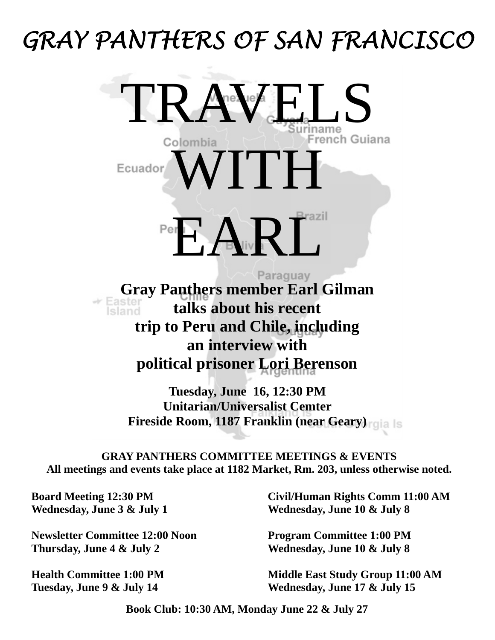# *GRAY PANTHERS OF SAN FRANCISCO*

TRA<sup>rez</sup>re<sup>z</sup>

Colombia<br>WITH Ecuador Period  $\bigwedge_{\mathbb{R}}$ Paraguay

**Gray Panthers member Earl Gilman**<br> **Faster talks about his recent talks about his recent trip to Peru and Chile, including an interview with political prisoner Lori Berenson** 

> **Tuesday, June 16, 12:30 PM Unitarian/Universalist Cemter Fireside Room, 1187 Franklin (near Geary)**

**GRAY PANTHERS COMMITTEE MEETINGS & EVENTS All meetings and events take place at 1182 Market, Rm. 203, unless otherwise noted.** 

**Board Meeting 12:30 PM Wednesday, June 3 & July 1** 

**Newsletter Committee 12:00 Noon Thursday, June 4 & July 2** 

**Health Committee 1:00 PM Tuesday, June 9 & July 14** 

**Civil/Human Rights Comm 11:00 AM Wednesday, June 10 & July 8** 

**Program Committee 1:00 PM Wednesday, June 10 & July 8** 

**Middle East Study Group 11:00 AM Wednesday, June 17 & July 15** 

**Book Club: 10:30 AM, Monday June 22 & July 27**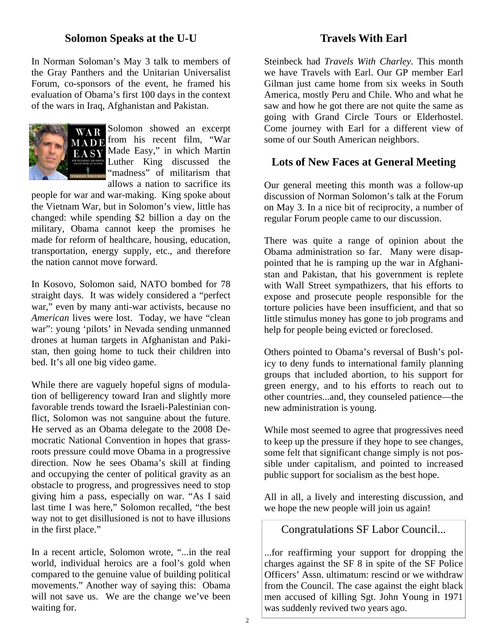### **Solomon Speaks at the U-U**

In Norman Soloman's May 3 talk to members of the Gray Panthers and the Unitarian Universalist Forum, co-sponsors of the event, he framed his evaluation of Obama's first 100 days in the context of the wars in Iraq, Afghanistan and Pakistan.



Solomon showed an excerpt  $\overrightarrow{MAD}$  from his recent film, "War EASY Made Easy," in which Martin Luther King discussed the "madness" of militarism that allows a nation to sacrifice its

people for war and war-making. King spoke about the Vietnam War, but in Solomon's view, little has changed: while spending \$2 billion a day on the military, Obama cannot keep the promises he made for reform of healthcare, housing, education, transportation, energy supply, etc., and therefore the nation cannot move forward.

In Kosovo, Solomon said, NATO bombed for 78 straight days. It was widely considered a "perfect war," even by many anti-war activists, because no *American* lives were lost. Today, we have "clean war": young 'pilots' in Nevada sending unmanned drones at human targets in Afghanistan and Pakistan, then going home to tuck their children into bed. It's all one big video game.

While there are vaguely hopeful signs of modulation of belligerency toward Iran and slightly more favorable trends toward the Israeli-Palestinian conflict, Solomon was not sanguine about the future. He served as an Obama delegate to the 2008 Democratic National Convention in hopes that grassroots pressure could move Obama in a progressive direction. Now he sees Obama's skill at finding and occupying the center of political gravity as an obstacle to progress, and progressives need to stop giving him a pass, especially on war. "As I said last time I was here," Solomon recalled, "the best way not to get disillusioned is not to have illusions in the first place."

In a recent article, Solomon wrote, "...in the real world, individual heroics are a fool's gold when compared to the genuine value of building political movements." Another way of saying this: Obama will not save us. We are the change we've been waiting for.

**Travels With Earl** 

Steinbeck had *Travels With Charley*. This month we have Travels with Earl. Our GP member Earl Gilman just came home from six weeks in South America, mostly Peru and Chile. Who and what he saw and how he got there are not quite the same as going with Grand Circle Tours or Elderhostel. Come journey with Earl for a different view of some of our South American neighbors.

## **Lots of New Faces at General Meeting**

Our general meeting this month was a follow-up discussion of Norman Solomon's talk at the Forum on May 3. In a nice bit of reciprocity, a number of regular Forum people came to our discussion.

There was quite a range of opinion about the Obama administration so far. Many were disappointed that he is ramping up the war in Afghanistan and Pakistan, that his government is replete with Wall Street sympathizers, that his efforts to expose and prosecute people responsible for the torture policies have been insufficient, and that so little stimulus money has gone to job programs and help for people being evicted or foreclosed.

Others pointed to Obama's reversal of Bush's policy to deny funds to international family planning groups that included abortion, to his support for green energy, and to his efforts to reach out to other countries...and, they counseled patience—the new administration is young.

While most seemed to agree that progressives need to keep up the pressure if they hope to see changes, some felt that significant change simply is not possible under capitalism, and pointed to increased public support for socialism as the best hope.

All in all, a lively and interesting discussion, and we hope the new people will join us again!

Congratulations SF Labor Council...

...for reaffirming your support for dropping the charges against the SF 8 in spite of the SF Police Officers' Assn. ultimatum: rescind or we withdraw from the Council. The case against the eight black men accused of killing Sgt. John Young in 1971 was suddenly revived two years ago.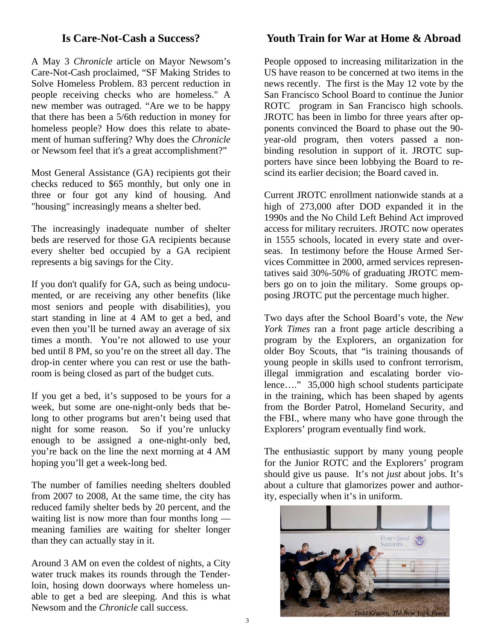## **Is Care-Not-Cash a Success?**

A May 3 *Chronicle* article on Mayor Newsom's Care-Not-Cash proclaimed, "SF Making Strides to Solve Homeless Problem. 83 percent reduction in people receiving checks who are homeless." A new member was outraged. "Are we to be happy that there has been a 5/6th reduction in money for homeless people? How does this relate to abatement of human suffering? Why does the *Chronicle*  or Newsom feel that it's a great accomplishment?"

Most General Assistance (GA) recipients got their checks reduced to \$65 monthly, but only one in three or four got any kind of housing. And "housing" increasingly means a shelter bed.

The increasingly inadequate number of shelter beds are reserved for those GA recipients because every shelter bed occupied by a GA recipient represents a big savings for the City.

If you don't qualify for GA, such as being undocumented, or are receiving any other benefits (like most seniors and people with disabilities), you start standing in line at 4 AM to get a bed, and even then you'll be turned away an average of six times a month. You're not allowed to use your bed until 8 PM, so you're on the street all day. The drop-in center where you can rest or use the bathroom is being closed as part of the budget cuts.

If you get a bed, it's supposed to be yours for a week, but some are one-night-only beds that belong to other programs but aren't being used that night for some reason. So if you're unlucky enough to be assigned a one-night-only bed, you're back on the line the next morning at 4 AM hoping you'll get a week-long bed.

The number of families needing shelters doubled from 2007 to 2008, At the same time, the city has reduced family shelter beds by 20 percent, and the waiting list is now more than four months long meaning families are waiting for shelter longer than they can actually stay in it.

Around 3 AM on even the coldest of nights, a City water truck makes its rounds through the Tenderloin, hosing down doorways where homeless unable to get a bed are sleeping. And this is what Newsom and the *Chronicle* call success.

## **Youth Train for War at Home & Abroad**

People opposed to increasing militarization in the US have reason to be concerned at two items in the news recently. The first is the May 12 vote by the San Francisco School Board to continue the Junior ROTC program in San Francisco high schools. JROTC has been in limbo for three years after opponents convinced the Board to phase out the 90 year-old program, then voters passed a nonbinding resolution in support of it. JROTC supporters have since been lobbying the Board to rescind its earlier decision; the Board caved in.

Current JROTC enrollment nationwide stands at a high of 273,000 after DOD expanded it in the 1990s and the No Child Left Behind Act improved access for military recruiters. JROTC now operates in 1555 schools, located in every state and overseas. In testimony before the House Armed Services Committee in 2000, armed services representatives said 30%-50% of graduating JROTC members go on to join the military. Some groups opposing JROTC put the percentage much higher.

Two days after the School Board's vote, the *New York Times* ran a front page article describing a program by the Explorers, an organization for older Boy Scouts, that "is training thousands of young people in skills used to confront terrorism, illegal immigration and escalating border violence…." 35,000 high school students participate in the training, which has been shaped by agents from the Border Patrol, Homeland Security, and the FBI., where many who have gone through the Explorers' program eventually find work.

The enthusiastic support by many young people for the Junior ROTC and the Explorers' program should give us pause. It's not *just* about jobs. It's about a culture that glamorizes power and authority, especially when it's in uniform.

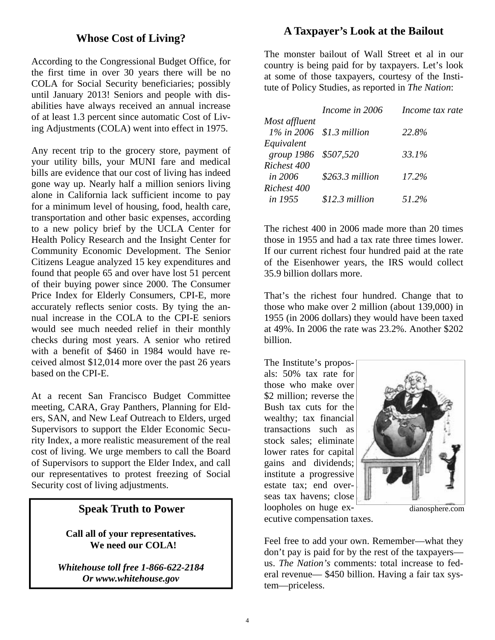## **Whose Cost of Living?**

According to the Congressional Budget Office, for the first time in over 30 years there will be no COLA for Social Security beneficiaries; possibly until January 2013! Seniors and people with disabilities have always received an annual increase of at least 1.3 percent since automatic Cost of Living Adjustments (COLA) went into effect in 1975.

Any recent trip to the grocery store, payment of your utility bills, your MUNI fare and medical bills are evidence that our cost of living has indeed gone way up. Nearly half a million seniors living alone in California lack sufficient income to pay for a minimum level of housing, food, health care, transportation and other basic expenses, according to a new policy brief by the UCLA Center for Health Policy Research and the Insight Center for Community Economic Development. The Senior Citizens League analyzed 15 key expenditures and found that people 65 and over have lost 51 percent of their buying power since 2000. The Consumer Price Index for Elderly Consumers, CPI-E, more accurately reflects senior costs. By tying the annual increase in the COLA to the CPI-E seniors would see much needed relief in their monthly checks during most years. A senior who retired with a benefit of \$460 in 1984 would have received almost \$12,014 more over the past 26 years based on the CPI-E.

At a recent San Francisco Budget Committee meeting, CARA, Gray Panthers, Planning for Elders, SAN, and New Leaf Outreach to Elders, urged Supervisors to support the Elder Economic Security Index, a more realistic measurement of the real cost of living. We urge members to call the Board of Supervisors to support the Elder Index, and call our representatives to protest freezing of Social Security cost of living adjustments.

#### **Speak Truth to Power**

**Call all of your representatives. We need our COLA!** 

*Whitehouse toll free 1-866-622-2184 Or www.whitehouse.gov* 

## **A Taxpayer's Look at the Bailout**

The monster bailout of Wall Street et al in our country is being paid for by taxpayers. Let's look at some of those taxpayers, courtesy of the Institute of Policy Studies, as reported in *The Nation*:

|                             | Income in 2006   | Income tax rate |
|-----------------------------|------------------|-----------------|
| Most affluent               |                  |                 |
| $1\%$ in 2006 \$1.3 million |                  | 22.8%           |
| Equivalent                  |                  |                 |
| group $1986$                | \$507,520        | 33.1%           |
| Richest 400                 |                  |                 |
| <i>in 2006</i>              | $$263.3$ million | 17.2%           |
| Richest 400                 |                  |                 |
| <i>in</i> 1955              | $$12.3$ million  | 51.2%           |

The richest 400 in 2006 made more than 20 times those in 1955 and had a tax rate three times lower. If our current richest four hundred paid at the rate of the Eisenhower years, the IRS would collect 35.9 billion dollars more.

That's the richest four hundred. Change that to those who make over 2 million (about 139,000) in 1955 (in 2006 dollars) they would have been taxed at 49%. In 2006 the rate was 23.2%. Another \$202 billion.

The Institute's proposals: 50% tax rate for those who make over \$2 million; reverse the Bush tax cuts for the wealthy; tax financial transactions such as stock sales; eliminate lower rates for capital gains and dividends; institute a progressive estate tax; end overseas tax havens; close loopholes on huge ex-



dianosphere.com

ecutive compensation taxes.

Feel free to add your own. Remember—what they don't pay is paid for by the rest of the taxpayers us. *The Nation's* comments: total increase to federal revenue— \$450 billion. Having a fair tax system—priceless.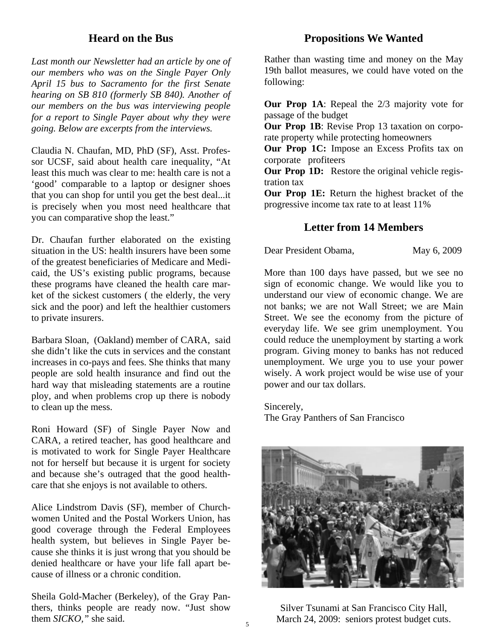## **Heard on the Bus**

*Last month our Newsletter had an article by one of our members who was on the Single Payer Only April 15 bus to Sacramento for the first Senate hearing on SB 810 (formerly SB 840). Another of our members on the bus was interviewing people for a report to Single Payer about why they were going. Below are excerpts from the interviews.* 

Claudia N. Chaufan, MD, PhD (SF), Asst. Professor UCSF, said about health care inequality, "At least this much was clear to me: health care is not a 'good' comparable to a laptop or designer shoes that you can shop for until you get the best deal...it is precisely when you most need healthcare that you can comparative shop the least."

Dr. Chaufan further elaborated on the existing situation in the US: health insurers have been some of the greatest beneficiaries of Medicare and Medicaid, the US's existing public programs, because these programs have cleaned the health care market of the sickest customers ( the elderly, the very sick and the poor) and left the healthier customers to private insurers.

Barbara Sloan, (Oakland) member of CARA, said she didn't like the cuts in services and the constant increases in co-pays and fees. She thinks that many people are sold health insurance and find out the hard way that misleading statements are a routine ploy, and when problems crop up there is nobody to clean up the mess.

Roni Howard (SF) of Single Payer Now and CARA, a retired teacher, has good healthcare and is motivated to work for Single Payer Healthcare not for herself but because it is urgent for society and because she's outraged that the good healthcare that she enjoys is not available to others.

Alice Lindstrom Davis (SF), member of Churchwomen United and the Postal Workers Union, has good coverage through the Federal Employees health system, but believes in Single Payer because she thinks it is just wrong that you should be denied healthcare or have your life fall apart because of illness or a chronic condition.

Sheila Gold-Macher (Berkeley), of the Gray Panthers, thinks people are ready now. "Just show them *SICKO,"* she said.

#### **Propositions We Wanted**

Rather than wasting time and money on the May 19th ballot measures, we could have voted on the following:

**Our Prop 1A**: Repeal the 2/3 majority vote for passage of the budget

**Our Prop 1B**: Revise Prop 13 taxation on corporate property while protecting homeowners

**Our Prop 1C:** Impose an Excess Profits tax on corporate profiteers

**Our Prop 1D:** Restore the original vehicle registration tax

**Our Prop 1E:** Return the highest bracket of the progressive income tax rate to at least 11%

## **Letter from 14 Members**

Dear President Obama, May 6, 2009

More than 100 days have passed, but we see no sign of economic change. We would like you to understand our view of economic change. We are not banks; we are not Wall Street; we are Main Street. We see the economy from the picture of everyday life. We see grim unemployment. You could reduce the unemployment by starting a work program. Giving money to banks has not reduced unemployment. We urge you to use your power wisely. A work project would be wise use of your power and our tax dollars.

Sincerely,

The Gray Panthers of San Francisco



Silver Tsunami at San Francisco City Hall, March 24, 2009: seniors protest budget cuts.